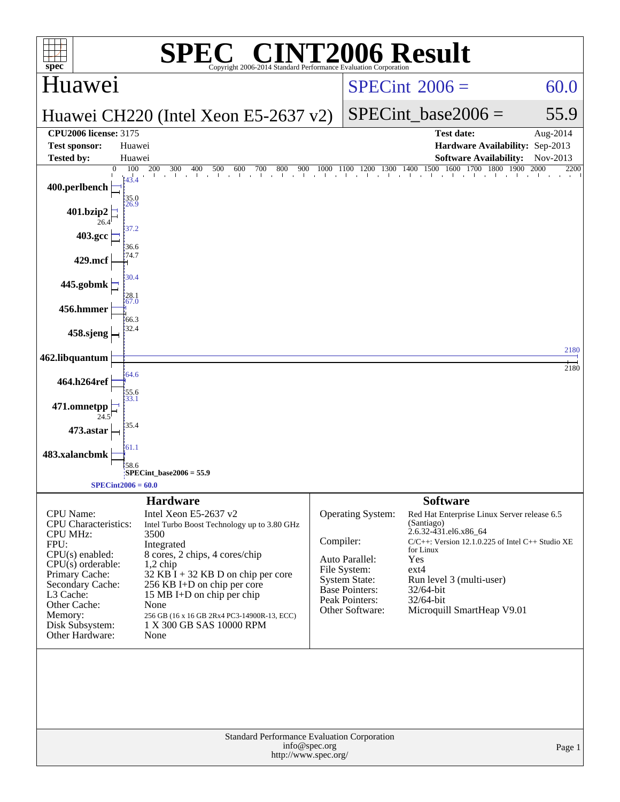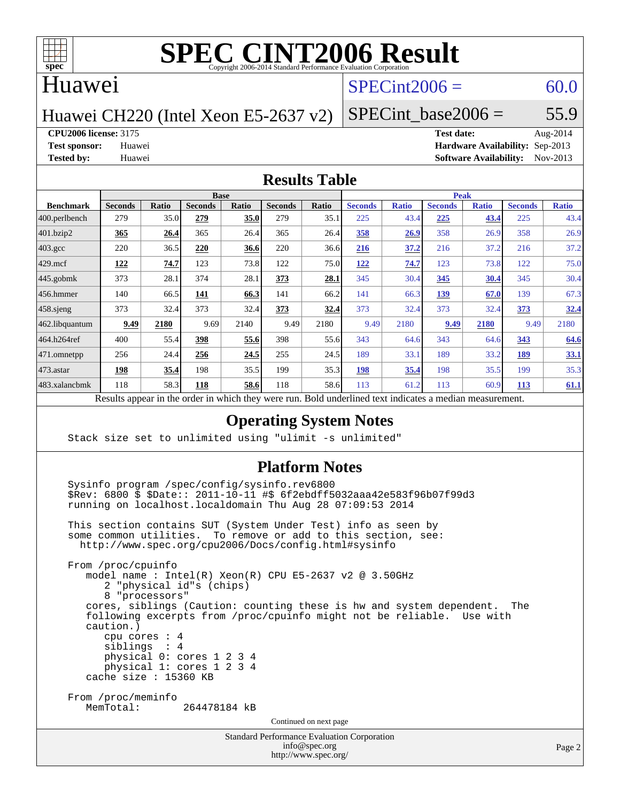

#### Huawei

### $SPECint2006 = 60.0$  $SPECint2006 = 60.0$

Huawei CH220 (Intel Xeon E5-2637 v2)

SPECint base2006 =  $55.9$ 

**[CPU2006 license:](http://www.spec.org/auto/cpu2006/Docs/result-fields.html#CPU2006license)** 3175 **[Test date:](http://www.spec.org/auto/cpu2006/Docs/result-fields.html#Testdate)** Aug-2014

**[Test sponsor:](http://www.spec.org/auto/cpu2006/Docs/result-fields.html#Testsponsor)** Huawei **[Hardware Availability:](http://www.spec.org/auto/cpu2006/Docs/result-fields.html#HardwareAvailability)** Sep-2013 **[Tested by:](http://www.spec.org/auto/cpu2006/Docs/result-fields.html#Testedby)** Huawei **[Software Availability:](http://www.spec.org/auto/cpu2006/Docs/result-fields.html#SoftwareAvailability)** Nov-2013

#### **[Results Table](http://www.spec.org/auto/cpu2006/Docs/result-fields.html#ResultsTable)**

| <b>Base</b>    |              |                 |       |                | <b>Peak</b> |                |                             |                              |              |                |              |
|----------------|--------------|-----------------|-------|----------------|-------------|----------------|-----------------------------|------------------------------|--------------|----------------|--------------|
| <b>Seconds</b> | <b>Ratio</b> | <b>Seconds</b>  | Ratio | <b>Seconds</b> | Ratio       | <b>Seconds</b> | <b>Ratio</b>                | <b>Seconds</b>               | <b>Ratio</b> | <b>Seconds</b> | <b>Ratio</b> |
| 279            | 35.0         | 279             | 35.0  | 279            | 35.1        | 225            | 43.4                        | 225                          | 43.4         | 225            | 43.4         |
| 365            | 26.4         | 365             | 26.4  | 365            | 26.4        | 358            | 26.9                        | 358                          | 26.9         | 358            | 26.9         |
| 220            | 36.5         | 220             | 36.6  | 220            | 36.6        | 216            | 37.2                        | 216                          | 37.2         | 216            | 37.2         |
| 122            | 74.7         | 123             | 73.8  | 122            | 75.0        | 122            | 74.7                        | 123                          | 73.8         | 122            | 75.0         |
| 373            | 28.1         | 374             | 28.1  | 373            | 28.1        | 345            | 30.4                        | 345                          | 30.4         | 345            | 30.4         |
| 140            | 66.5         | 141             | 66.3  | 141            | 66.2        | 141            | 66.3                        | 139                          | 67.0         | 139            | 67.3         |
| 373            | 32.4         | 373             | 32.4  | 373            | <u>32.4</u> | 373            | 32.4                        | 373                          | 32.4         | 373            | 32.4         |
| 9.49           | 2180         | 9.69            | 2140  | 9.49           | 2180        | 9.49           | 2180                        | 9.49                         | 2180         | 9.49           | 2180         |
| 400            | 55.4         | 398             | 55.6  | 398            |             | 343            |                             | 343                          | 64.6         | 343            | 64.6         |
| 256            | 24.4         | 256             | 24.5  | 255            | 24.5        | 189            | 33.1                        | 189                          | 33.2         | 189            | 33.1         |
| 198            | 35.4         | 198             | 35.5  | 199            | 35.3        | <b>198</b>     | 35.4                        | 198                          | 35.5         | 199            | 35.3         |
| 118            | 58.3         | 118             | 58.6  | 118            |             | 113            | 61.2                        | 113                          | 60.9         | 113            | 61.1         |
|                | 1.1<br>D.    | $\cdot$ $\cdot$ |       | 1.1.1          |             | T11            | 55.6<br>58.6<br>$1 \quad 1$ | $\mathbf{1}$<br>$\mathbf{1}$ | 64.6         |                |              |

Results appear in the [order in which they were run.](http://www.spec.org/auto/cpu2006/Docs/result-fields.html#RunOrder) Bold underlined text [indicates a median measurement.](http://www.spec.org/auto/cpu2006/Docs/result-fields.html#Median)

#### **[Operating System Notes](http://www.spec.org/auto/cpu2006/Docs/result-fields.html#OperatingSystemNotes)**

Stack size set to unlimited using "ulimit -s unlimited"

#### **[Platform Notes](http://www.spec.org/auto/cpu2006/Docs/result-fields.html#PlatformNotes)**

Standard Performance Evaluation Corporation Sysinfo program /spec/config/sysinfo.rev6800 \$Rev: 6800 \$ \$Date:: 2011-10-11 #\$ 6f2ebdff5032aaa42e583f96b07f99d3 running on localhost.localdomain Thu Aug 28 07:09:53 2014 This section contains SUT (System Under Test) info as seen by some common utilities. To remove or add to this section, see: <http://www.spec.org/cpu2006/Docs/config.html#sysinfo> From /proc/cpuinfo model name : Intel(R) Xeon(R) CPU E5-2637 v2 @ 3.50GHz 2 "physical id"s (chips) 8 "processors" cores, siblings (Caution: counting these is hw and system dependent. The following excerpts from /proc/cpuinfo might not be reliable. Use with caution.) cpu cores : 4 siblings : 4 physical 0: cores 1 2 3 4 physical 1: cores 1 2 3 4 cache size : 15360 KB From /proc/meminfo<br>MemTotal: 264478184 kB Continued on next page

[info@spec.org](mailto:info@spec.org) <http://www.spec.org/>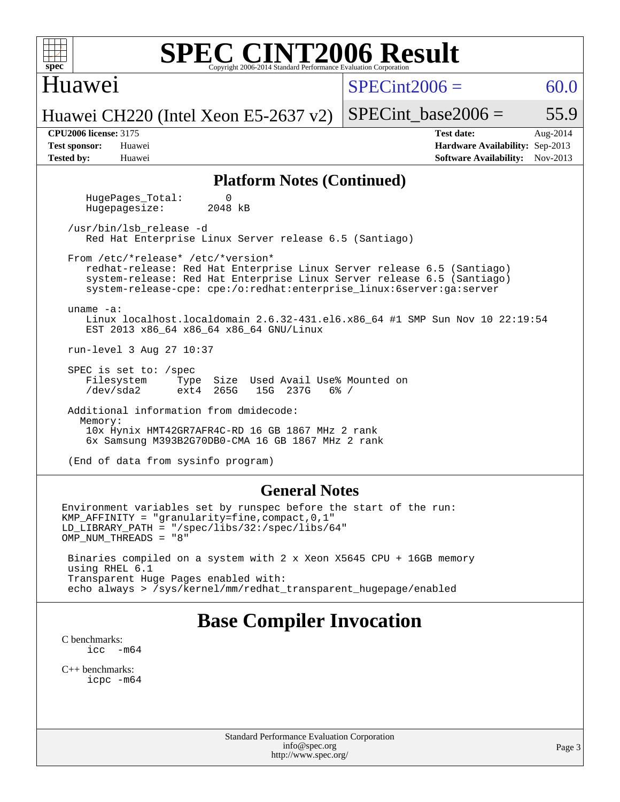| <b>SPEC CINT2006 Result</b><br>$spec^*$<br>Copyright 2006-2014 Standard Performance Evaluation Corporatio                                                                                                                                                      |                                                                                                               |  |  |  |  |  |  |  |  |
|----------------------------------------------------------------------------------------------------------------------------------------------------------------------------------------------------------------------------------------------------------------|---------------------------------------------------------------------------------------------------------------|--|--|--|--|--|--|--|--|
| Huawei                                                                                                                                                                                                                                                         | $SPECint2006 =$<br>60.0                                                                                       |  |  |  |  |  |  |  |  |
| Huawei CH220 (Intel Xeon E5-2637 v2)                                                                                                                                                                                                                           | $SPECint base2006 =$<br>55.9                                                                                  |  |  |  |  |  |  |  |  |
| <b>CPU2006 license: 3175</b><br><b>Test sponsor:</b><br>Huawei<br><b>Tested by:</b><br>Huawei                                                                                                                                                                  | <b>Test date:</b><br>Aug-2014<br>Hardware Availability: Sep-2013<br><b>Software Availability:</b><br>Nov-2013 |  |  |  |  |  |  |  |  |
| <b>Platform Notes (Continued)</b>                                                                                                                                                                                                                              |                                                                                                               |  |  |  |  |  |  |  |  |
| $\Omega$<br>HugePages_Total:<br>2048 kB<br>Hugepagesize:                                                                                                                                                                                                       |                                                                                                               |  |  |  |  |  |  |  |  |
| /usr/bin/lsb_release -d<br>Red Hat Enterprise Linux Server release 6.5 (Santiago)                                                                                                                                                                              |                                                                                                               |  |  |  |  |  |  |  |  |
| From /etc/*release* /etc/*version*<br>redhat-release: Red Hat Enterprise Linux Server release 6.5 (Santiago)<br>system-release: Red Hat Enterprise Linux Server release 6.5 (Santiago)<br>system-release-cpe: cpe:/o:redhat:enterprise_linux:6server:ga:server |                                                                                                               |  |  |  |  |  |  |  |  |
| uname $-a$ :<br>Linux localhost.localdomain 2.6.32-431.el6.x86_64 #1 SMP Sun Nov 10 22:19:54<br>EST 2013 x86_64 x86_64 x86_64 GNU/Linux                                                                                                                        |                                                                                                               |  |  |  |  |  |  |  |  |
| run-level 3 Aug 27 10:37                                                                                                                                                                                                                                       |                                                                                                               |  |  |  |  |  |  |  |  |
| SPEC is set to: /spec<br>Size Used Avail Use% Mounted on<br>Filesystem<br>Type<br>/dev/sda2<br>265G<br>15G 237G<br>$6\%$ /<br>ext4                                                                                                                             |                                                                                                               |  |  |  |  |  |  |  |  |
| Additional information from dmidecode:<br>Memory:<br>10x Hynix HMT42GR7AFR4C-RD 16 GB 1867 MHz 2 rank<br>6x Samsung M393B2G70DB0-CMA 16 GB 1867 MHz 2 rank                                                                                                     |                                                                                                               |  |  |  |  |  |  |  |  |
| (End of data from sysinfo program)                                                                                                                                                                                                                             |                                                                                                               |  |  |  |  |  |  |  |  |
| <b>General Notes</b>                                                                                                                                                                                                                                           |                                                                                                               |  |  |  |  |  |  |  |  |
| Environment variables set by runspec before the start of the run:<br>KMP_AFFINITY = "granularity=fine, compact, 0, 1"<br>$LD_LIBRARY_PATH = "/gpec/libs/32://spec/libs/64"$<br>OMP_NUM_THREADS = "8"                                                           |                                                                                                               |  |  |  |  |  |  |  |  |
| Binaries compiled on a system with 2 x Xeon X5645 CPU + 16GB memory<br>using RHEL 6.1<br>Transparent Huge Pages enabled with:<br>echo always > /sys/kernel/mm/redhat_transparent_hugepage/enabled                                                              |                                                                                                               |  |  |  |  |  |  |  |  |
| <b>Base Compiler Invocation</b><br>C benchmarks:<br>$\text{icc}$ $-\text{m64}$                                                                                                                                                                                 |                                                                                                               |  |  |  |  |  |  |  |  |

[C++ benchmarks:](http://www.spec.org/auto/cpu2006/Docs/result-fields.html#CXXbenchmarks) [icpc -m64](http://www.spec.org/cpu2006/results/res2014q3/cpu2006-20140901-31125.flags.html#user_CXXbase_intel_icpc_64bit_fc66a5337ce925472a5c54ad6a0de310)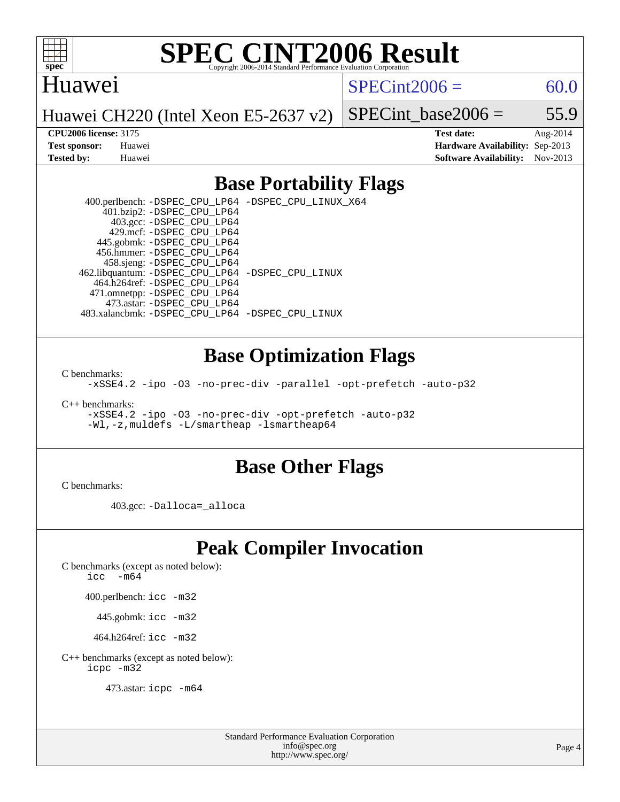

#### Huawei

 $SPECint2006 = 60.0$  $SPECint2006 = 60.0$ 

Huawei CH220 (Intel Xeon E5-2637 v2)

SPECint base2006 =  $55.9$ **[CPU2006 license:](http://www.spec.org/auto/cpu2006/Docs/result-fields.html#CPU2006license)** 3175 **[Test date:](http://www.spec.org/auto/cpu2006/Docs/result-fields.html#Testdate)** Aug-2014

**[Test sponsor:](http://www.spec.org/auto/cpu2006/Docs/result-fields.html#Testsponsor)** Huawei **[Hardware Availability:](http://www.spec.org/auto/cpu2006/Docs/result-fields.html#HardwareAvailability)** Sep-2013 **[Tested by:](http://www.spec.org/auto/cpu2006/Docs/result-fields.html#Testedby)** Huawei **[Software Availability:](http://www.spec.org/auto/cpu2006/Docs/result-fields.html#SoftwareAvailability)** Nov-2013

### **[Base Portability Flags](http://www.spec.org/auto/cpu2006/Docs/result-fields.html#BasePortabilityFlags)**

 400.perlbench: [-DSPEC\\_CPU\\_LP64](http://www.spec.org/cpu2006/results/res2014q3/cpu2006-20140901-31125.flags.html#b400.perlbench_basePORTABILITY_DSPEC_CPU_LP64) [-DSPEC\\_CPU\\_LINUX\\_X64](http://www.spec.org/cpu2006/results/res2014q3/cpu2006-20140901-31125.flags.html#b400.perlbench_baseCPORTABILITY_DSPEC_CPU_LINUX_X64) 401.bzip2: [-DSPEC\\_CPU\\_LP64](http://www.spec.org/cpu2006/results/res2014q3/cpu2006-20140901-31125.flags.html#suite_basePORTABILITY401_bzip2_DSPEC_CPU_LP64) 403.gcc: [-DSPEC\\_CPU\\_LP64](http://www.spec.org/cpu2006/results/res2014q3/cpu2006-20140901-31125.flags.html#suite_basePORTABILITY403_gcc_DSPEC_CPU_LP64) 429.mcf: [-DSPEC\\_CPU\\_LP64](http://www.spec.org/cpu2006/results/res2014q3/cpu2006-20140901-31125.flags.html#suite_basePORTABILITY429_mcf_DSPEC_CPU_LP64) 445.gobmk: [-DSPEC\\_CPU\\_LP64](http://www.spec.org/cpu2006/results/res2014q3/cpu2006-20140901-31125.flags.html#suite_basePORTABILITY445_gobmk_DSPEC_CPU_LP64) 456.hmmer: [-DSPEC\\_CPU\\_LP64](http://www.spec.org/cpu2006/results/res2014q3/cpu2006-20140901-31125.flags.html#suite_basePORTABILITY456_hmmer_DSPEC_CPU_LP64) 458.sjeng: [-DSPEC\\_CPU\\_LP64](http://www.spec.org/cpu2006/results/res2014q3/cpu2006-20140901-31125.flags.html#suite_basePORTABILITY458_sjeng_DSPEC_CPU_LP64) 462.libquantum: [-DSPEC\\_CPU\\_LP64](http://www.spec.org/cpu2006/results/res2014q3/cpu2006-20140901-31125.flags.html#suite_basePORTABILITY462_libquantum_DSPEC_CPU_LP64) [-DSPEC\\_CPU\\_LINUX](http://www.spec.org/cpu2006/results/res2014q3/cpu2006-20140901-31125.flags.html#b462.libquantum_baseCPORTABILITY_DSPEC_CPU_LINUX) 464.h264ref: [-DSPEC\\_CPU\\_LP64](http://www.spec.org/cpu2006/results/res2014q3/cpu2006-20140901-31125.flags.html#suite_basePORTABILITY464_h264ref_DSPEC_CPU_LP64) 471.omnetpp: [-DSPEC\\_CPU\\_LP64](http://www.spec.org/cpu2006/results/res2014q3/cpu2006-20140901-31125.flags.html#suite_basePORTABILITY471_omnetpp_DSPEC_CPU_LP64) 473.astar: [-DSPEC\\_CPU\\_LP64](http://www.spec.org/cpu2006/results/res2014q3/cpu2006-20140901-31125.flags.html#suite_basePORTABILITY473_astar_DSPEC_CPU_LP64) 483.xalancbmk: [-DSPEC\\_CPU\\_LP64](http://www.spec.org/cpu2006/results/res2014q3/cpu2006-20140901-31125.flags.html#suite_basePORTABILITY483_xalancbmk_DSPEC_CPU_LP64) [-DSPEC\\_CPU\\_LINUX](http://www.spec.org/cpu2006/results/res2014q3/cpu2006-20140901-31125.flags.html#b483.xalancbmk_baseCXXPORTABILITY_DSPEC_CPU_LINUX)

#### **[Base Optimization Flags](http://www.spec.org/auto/cpu2006/Docs/result-fields.html#BaseOptimizationFlags)**

[C benchmarks](http://www.spec.org/auto/cpu2006/Docs/result-fields.html#Cbenchmarks):

[-xSSE4.2](http://www.spec.org/cpu2006/results/res2014q3/cpu2006-20140901-31125.flags.html#user_CCbase_f-xSSE42_f91528193cf0b216347adb8b939d4107) [-ipo](http://www.spec.org/cpu2006/results/res2014q3/cpu2006-20140901-31125.flags.html#user_CCbase_f-ipo) [-O3](http://www.spec.org/cpu2006/results/res2014q3/cpu2006-20140901-31125.flags.html#user_CCbase_f-O3) [-no-prec-div](http://www.spec.org/cpu2006/results/res2014q3/cpu2006-20140901-31125.flags.html#user_CCbase_f-no-prec-div) [-parallel](http://www.spec.org/cpu2006/results/res2014q3/cpu2006-20140901-31125.flags.html#user_CCbase_f-parallel) [-opt-prefetch](http://www.spec.org/cpu2006/results/res2014q3/cpu2006-20140901-31125.flags.html#user_CCbase_f-opt-prefetch) [-auto-p32](http://www.spec.org/cpu2006/results/res2014q3/cpu2006-20140901-31125.flags.html#user_CCbase_f-auto-p32)

[C++ benchmarks:](http://www.spec.org/auto/cpu2006/Docs/result-fields.html#CXXbenchmarks)

[-xSSE4.2](http://www.spec.org/cpu2006/results/res2014q3/cpu2006-20140901-31125.flags.html#user_CXXbase_f-xSSE42_f91528193cf0b216347adb8b939d4107) [-ipo](http://www.spec.org/cpu2006/results/res2014q3/cpu2006-20140901-31125.flags.html#user_CXXbase_f-ipo) [-O3](http://www.spec.org/cpu2006/results/res2014q3/cpu2006-20140901-31125.flags.html#user_CXXbase_f-O3) [-no-prec-div](http://www.spec.org/cpu2006/results/res2014q3/cpu2006-20140901-31125.flags.html#user_CXXbase_f-no-prec-div) [-opt-prefetch](http://www.spec.org/cpu2006/results/res2014q3/cpu2006-20140901-31125.flags.html#user_CXXbase_f-opt-prefetch) [-auto-p32](http://www.spec.org/cpu2006/results/res2014q3/cpu2006-20140901-31125.flags.html#user_CXXbase_f-auto-p32) [-Wl,-z,muldefs](http://www.spec.org/cpu2006/results/res2014q3/cpu2006-20140901-31125.flags.html#user_CXXbase_link_force_multiple1_74079c344b956b9658436fd1b6dd3a8a) [-L/smartheap -lsmartheap64](http://www.spec.org/cpu2006/results/res2014q3/cpu2006-20140901-31125.flags.html#user_CXXbase_SmartHeap64_5e654037dadeae1fe403ab4b4466e60b)

#### **[Base Other Flags](http://www.spec.org/auto/cpu2006/Docs/result-fields.html#BaseOtherFlags)**

[C benchmarks](http://www.spec.org/auto/cpu2006/Docs/result-fields.html#Cbenchmarks):

403.gcc: [-Dalloca=\\_alloca](http://www.spec.org/cpu2006/results/res2014q3/cpu2006-20140901-31125.flags.html#b403.gcc_baseEXTRA_CFLAGS_Dalloca_be3056838c12de2578596ca5467af7f3)

## **[Peak Compiler Invocation](http://www.spec.org/auto/cpu2006/Docs/result-fields.html#PeakCompilerInvocation)**

[C benchmarks \(except as noted below\)](http://www.spec.org/auto/cpu2006/Docs/result-fields.html#Cbenchmarksexceptasnotedbelow):

icc  $-m64$ 

400.perlbench: [icc -m32](http://www.spec.org/cpu2006/results/res2014q3/cpu2006-20140901-31125.flags.html#user_peakCCLD400_perlbench_intel_icc_a6a621f8d50482236b970c6ac5f55f93)

445.gobmk: [icc -m32](http://www.spec.org/cpu2006/results/res2014q3/cpu2006-20140901-31125.flags.html#user_peakCCLD445_gobmk_intel_icc_a6a621f8d50482236b970c6ac5f55f93)

464.h264ref: [icc -m32](http://www.spec.org/cpu2006/results/res2014q3/cpu2006-20140901-31125.flags.html#user_peakCCLD464_h264ref_intel_icc_a6a621f8d50482236b970c6ac5f55f93)

[C++ benchmarks \(except as noted below\):](http://www.spec.org/auto/cpu2006/Docs/result-fields.html#CXXbenchmarksexceptasnotedbelow) [icpc -m32](http://www.spec.org/cpu2006/results/res2014q3/cpu2006-20140901-31125.flags.html#user_CXXpeak_intel_icpc_4e5a5ef1a53fd332b3c49e69c3330699)

473.astar: [icpc -m64](http://www.spec.org/cpu2006/results/res2014q3/cpu2006-20140901-31125.flags.html#user_peakCXXLD473_astar_intel_icpc_64bit_fc66a5337ce925472a5c54ad6a0de310)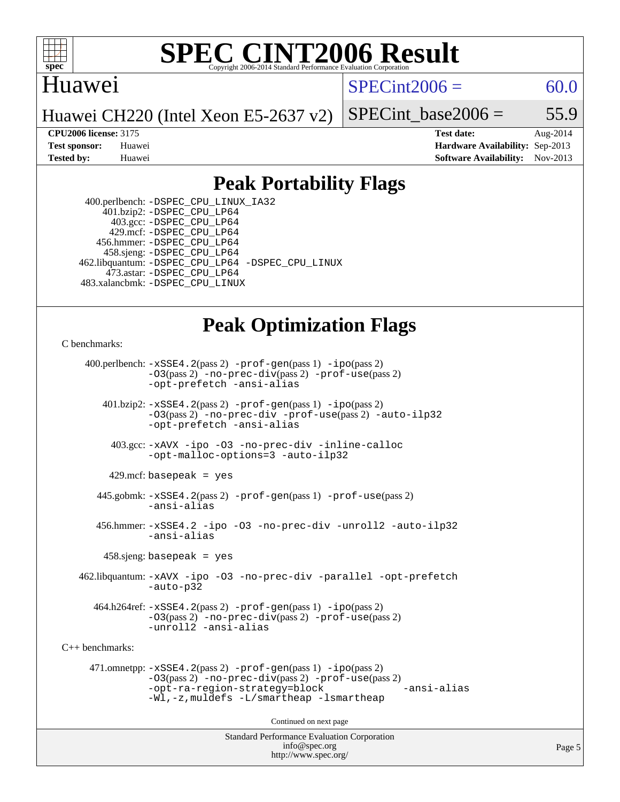

### Huawei

 $SPECint2006 = 60.0$  $SPECint2006 = 60.0$ 

Huawei CH220 (Intel Xeon E5-2637 v2)

SPECint base2006 =  $55.9$ 

**[CPU2006 license:](http://www.spec.org/auto/cpu2006/Docs/result-fields.html#CPU2006license)** 3175 **[Test date:](http://www.spec.org/auto/cpu2006/Docs/result-fields.html#Testdate)** Aug-2014 **[Test sponsor:](http://www.spec.org/auto/cpu2006/Docs/result-fields.html#Testsponsor)** Huawei **[Hardware Availability:](http://www.spec.org/auto/cpu2006/Docs/result-fields.html#HardwareAvailability)** Sep-2013 **[Tested by:](http://www.spec.org/auto/cpu2006/Docs/result-fields.html#Testedby)** Huawei **[Software Availability:](http://www.spec.org/auto/cpu2006/Docs/result-fields.html#SoftwareAvailability)** Nov-2013

### **[Peak Portability Flags](http://www.spec.org/auto/cpu2006/Docs/result-fields.html#PeakPortabilityFlags)**

 400.perlbench: [-DSPEC\\_CPU\\_LINUX\\_IA32](http://www.spec.org/cpu2006/results/res2014q3/cpu2006-20140901-31125.flags.html#b400.perlbench_peakCPORTABILITY_DSPEC_CPU_LINUX_IA32) 401.bzip2: [-DSPEC\\_CPU\\_LP64](http://www.spec.org/cpu2006/results/res2014q3/cpu2006-20140901-31125.flags.html#suite_peakPORTABILITY401_bzip2_DSPEC_CPU_LP64) 403.gcc: [-DSPEC\\_CPU\\_LP64](http://www.spec.org/cpu2006/results/res2014q3/cpu2006-20140901-31125.flags.html#suite_peakPORTABILITY403_gcc_DSPEC_CPU_LP64) 429.mcf: [-DSPEC\\_CPU\\_LP64](http://www.spec.org/cpu2006/results/res2014q3/cpu2006-20140901-31125.flags.html#suite_peakPORTABILITY429_mcf_DSPEC_CPU_LP64) 456.hmmer: [-DSPEC\\_CPU\\_LP64](http://www.spec.org/cpu2006/results/res2014q3/cpu2006-20140901-31125.flags.html#suite_peakPORTABILITY456_hmmer_DSPEC_CPU_LP64) 458.sjeng: [-DSPEC\\_CPU\\_LP64](http://www.spec.org/cpu2006/results/res2014q3/cpu2006-20140901-31125.flags.html#suite_peakPORTABILITY458_sjeng_DSPEC_CPU_LP64) 462.libquantum: [-DSPEC\\_CPU\\_LP64](http://www.spec.org/cpu2006/results/res2014q3/cpu2006-20140901-31125.flags.html#suite_peakPORTABILITY462_libquantum_DSPEC_CPU_LP64) [-DSPEC\\_CPU\\_LINUX](http://www.spec.org/cpu2006/results/res2014q3/cpu2006-20140901-31125.flags.html#b462.libquantum_peakCPORTABILITY_DSPEC_CPU_LINUX) 473.astar: [-DSPEC\\_CPU\\_LP64](http://www.spec.org/cpu2006/results/res2014q3/cpu2006-20140901-31125.flags.html#suite_peakPORTABILITY473_astar_DSPEC_CPU_LP64) 483.xalancbmk: [-DSPEC\\_CPU\\_LINUX](http://www.spec.org/cpu2006/results/res2014q3/cpu2006-20140901-31125.flags.html#b483.xalancbmk_peakCXXPORTABILITY_DSPEC_CPU_LINUX)

## **[Peak Optimization Flags](http://www.spec.org/auto/cpu2006/Docs/result-fields.html#PeakOptimizationFlags)**

[C benchmarks](http://www.spec.org/auto/cpu2006/Docs/result-fields.html#Cbenchmarks):

 400.perlbench: [-xSSE4.2](http://www.spec.org/cpu2006/results/res2014q3/cpu2006-20140901-31125.flags.html#user_peakPASS2_CFLAGSPASS2_LDCFLAGS400_perlbench_f-xSSE42_f91528193cf0b216347adb8b939d4107)(pass 2) [-prof-gen](http://www.spec.org/cpu2006/results/res2014q3/cpu2006-20140901-31125.flags.html#user_peakPASS1_CFLAGSPASS1_LDCFLAGS400_perlbench_prof_gen_e43856698f6ca7b7e442dfd80e94a8fc)(pass 1) [-ipo](http://www.spec.org/cpu2006/results/res2014q3/cpu2006-20140901-31125.flags.html#user_peakPASS2_CFLAGSPASS2_LDCFLAGS400_perlbench_f-ipo)(pass 2) [-O3](http://www.spec.org/cpu2006/results/res2014q3/cpu2006-20140901-31125.flags.html#user_peakPASS2_CFLAGSPASS2_LDCFLAGS400_perlbench_f-O3)(pass 2) [-no-prec-div](http://www.spec.org/cpu2006/results/res2014q3/cpu2006-20140901-31125.flags.html#user_peakPASS2_CFLAGSPASS2_LDCFLAGS400_perlbench_f-no-prec-div)(pass 2) [-prof-use](http://www.spec.org/cpu2006/results/res2014q3/cpu2006-20140901-31125.flags.html#user_peakPASS2_CFLAGSPASS2_LDCFLAGS400_perlbench_prof_use_bccf7792157ff70d64e32fe3e1250b55)(pass 2) [-opt-prefetch](http://www.spec.org/cpu2006/results/res2014q3/cpu2006-20140901-31125.flags.html#user_peakCOPTIMIZE400_perlbench_f-opt-prefetch) [-ansi-alias](http://www.spec.org/cpu2006/results/res2014q3/cpu2006-20140901-31125.flags.html#user_peakCOPTIMIZE400_perlbench_f-ansi-alias) 401.bzip2: [-xSSE4.2](http://www.spec.org/cpu2006/results/res2014q3/cpu2006-20140901-31125.flags.html#user_peakPASS2_CFLAGSPASS2_LDCFLAGS401_bzip2_f-xSSE42_f91528193cf0b216347adb8b939d4107)(pass 2) [-prof-gen](http://www.spec.org/cpu2006/results/res2014q3/cpu2006-20140901-31125.flags.html#user_peakPASS1_CFLAGSPASS1_LDCFLAGS401_bzip2_prof_gen_e43856698f6ca7b7e442dfd80e94a8fc)(pass 1) [-ipo](http://www.spec.org/cpu2006/results/res2014q3/cpu2006-20140901-31125.flags.html#user_peakPASS2_CFLAGSPASS2_LDCFLAGS401_bzip2_f-ipo)(pass 2) [-O3](http://www.spec.org/cpu2006/results/res2014q3/cpu2006-20140901-31125.flags.html#user_peakPASS2_CFLAGSPASS2_LDCFLAGS401_bzip2_f-O3)(pass 2) [-no-prec-div](http://www.spec.org/cpu2006/results/res2014q3/cpu2006-20140901-31125.flags.html#user_peakCOPTIMIZEPASS2_CFLAGSPASS2_LDCFLAGS401_bzip2_f-no-prec-div) [-prof-use](http://www.spec.org/cpu2006/results/res2014q3/cpu2006-20140901-31125.flags.html#user_peakPASS2_CFLAGSPASS2_LDCFLAGS401_bzip2_prof_use_bccf7792157ff70d64e32fe3e1250b55)(pass 2) [-auto-ilp32](http://www.spec.org/cpu2006/results/res2014q3/cpu2006-20140901-31125.flags.html#user_peakCOPTIMIZE401_bzip2_f-auto-ilp32) [-opt-prefetch](http://www.spec.org/cpu2006/results/res2014q3/cpu2006-20140901-31125.flags.html#user_peakCOPTIMIZE401_bzip2_f-opt-prefetch) [-ansi-alias](http://www.spec.org/cpu2006/results/res2014q3/cpu2006-20140901-31125.flags.html#user_peakCOPTIMIZE401_bzip2_f-ansi-alias) 403.gcc: [-xAVX](http://www.spec.org/cpu2006/results/res2014q3/cpu2006-20140901-31125.flags.html#user_peakCOPTIMIZE403_gcc_f-xAVX) [-ipo](http://www.spec.org/cpu2006/results/res2014q3/cpu2006-20140901-31125.flags.html#user_peakCOPTIMIZE403_gcc_f-ipo) [-O3](http://www.spec.org/cpu2006/results/res2014q3/cpu2006-20140901-31125.flags.html#user_peakCOPTIMIZE403_gcc_f-O3) [-no-prec-div](http://www.spec.org/cpu2006/results/res2014q3/cpu2006-20140901-31125.flags.html#user_peakCOPTIMIZE403_gcc_f-no-prec-div) [-inline-calloc](http://www.spec.org/cpu2006/results/res2014q3/cpu2006-20140901-31125.flags.html#user_peakCOPTIMIZE403_gcc_f-inline-calloc) [-opt-malloc-options=3](http://www.spec.org/cpu2006/results/res2014q3/cpu2006-20140901-31125.flags.html#user_peakCOPTIMIZE403_gcc_f-opt-malloc-options_13ab9b803cf986b4ee62f0a5998c2238) [-auto-ilp32](http://www.spec.org/cpu2006/results/res2014q3/cpu2006-20140901-31125.flags.html#user_peakCOPTIMIZE403_gcc_f-auto-ilp32)  $429$ .mcf: basepeak = yes 445.gobmk: [-xSSE4.2](http://www.spec.org/cpu2006/results/res2014q3/cpu2006-20140901-31125.flags.html#user_peakPASS2_CFLAGSPASS2_LDCFLAGS445_gobmk_f-xSSE42_f91528193cf0b216347adb8b939d4107)(pass 2) [-prof-gen](http://www.spec.org/cpu2006/results/res2014q3/cpu2006-20140901-31125.flags.html#user_peakPASS1_CFLAGSPASS1_LDCFLAGS445_gobmk_prof_gen_e43856698f6ca7b7e442dfd80e94a8fc)(pass 1) [-prof-use](http://www.spec.org/cpu2006/results/res2014q3/cpu2006-20140901-31125.flags.html#user_peakPASS2_CFLAGSPASS2_LDCFLAGS445_gobmk_prof_use_bccf7792157ff70d64e32fe3e1250b55)(pass 2) [-ansi-alias](http://www.spec.org/cpu2006/results/res2014q3/cpu2006-20140901-31125.flags.html#user_peakCOPTIMIZE445_gobmk_f-ansi-alias) 456.hmmer: [-xSSE4.2](http://www.spec.org/cpu2006/results/res2014q3/cpu2006-20140901-31125.flags.html#user_peakCOPTIMIZE456_hmmer_f-xSSE42_f91528193cf0b216347adb8b939d4107) [-ipo](http://www.spec.org/cpu2006/results/res2014q3/cpu2006-20140901-31125.flags.html#user_peakCOPTIMIZE456_hmmer_f-ipo) [-O3](http://www.spec.org/cpu2006/results/res2014q3/cpu2006-20140901-31125.flags.html#user_peakCOPTIMIZE456_hmmer_f-O3) [-no-prec-div](http://www.spec.org/cpu2006/results/res2014q3/cpu2006-20140901-31125.flags.html#user_peakCOPTIMIZE456_hmmer_f-no-prec-div) [-unroll2](http://www.spec.org/cpu2006/results/res2014q3/cpu2006-20140901-31125.flags.html#user_peakCOPTIMIZE456_hmmer_f-unroll_784dae83bebfb236979b41d2422d7ec2) [-auto-ilp32](http://www.spec.org/cpu2006/results/res2014q3/cpu2006-20140901-31125.flags.html#user_peakCOPTIMIZE456_hmmer_f-auto-ilp32) [-ansi-alias](http://www.spec.org/cpu2006/results/res2014q3/cpu2006-20140901-31125.flags.html#user_peakCOPTIMIZE456_hmmer_f-ansi-alias) 458.sjeng: basepeak = yes 462.libquantum: [-xAVX](http://www.spec.org/cpu2006/results/res2014q3/cpu2006-20140901-31125.flags.html#user_peakCOPTIMIZE462_libquantum_f-xAVX) [-ipo](http://www.spec.org/cpu2006/results/res2014q3/cpu2006-20140901-31125.flags.html#user_peakCOPTIMIZE462_libquantum_f-ipo) [-O3](http://www.spec.org/cpu2006/results/res2014q3/cpu2006-20140901-31125.flags.html#user_peakCOPTIMIZE462_libquantum_f-O3) [-no-prec-div](http://www.spec.org/cpu2006/results/res2014q3/cpu2006-20140901-31125.flags.html#user_peakCOPTIMIZE462_libquantum_f-no-prec-div) [-parallel](http://www.spec.org/cpu2006/results/res2014q3/cpu2006-20140901-31125.flags.html#user_peakCOPTIMIZE462_libquantum_f-parallel) [-opt-prefetch](http://www.spec.org/cpu2006/results/res2014q3/cpu2006-20140901-31125.flags.html#user_peakCOPTIMIZE462_libquantum_f-opt-prefetch) [-auto-p32](http://www.spec.org/cpu2006/results/res2014q3/cpu2006-20140901-31125.flags.html#user_peakCOPTIMIZE462_libquantum_f-auto-p32) 464.h264ref: [-xSSE4.2](http://www.spec.org/cpu2006/results/res2014q3/cpu2006-20140901-31125.flags.html#user_peakPASS2_CFLAGSPASS2_LDCFLAGS464_h264ref_f-xSSE42_f91528193cf0b216347adb8b939d4107)(pass 2) [-prof-gen](http://www.spec.org/cpu2006/results/res2014q3/cpu2006-20140901-31125.flags.html#user_peakPASS1_CFLAGSPASS1_LDCFLAGS464_h264ref_prof_gen_e43856698f6ca7b7e442dfd80e94a8fc)(pass 1) [-ipo](http://www.spec.org/cpu2006/results/res2014q3/cpu2006-20140901-31125.flags.html#user_peakPASS2_CFLAGSPASS2_LDCFLAGS464_h264ref_f-ipo)(pass 2) [-O3](http://www.spec.org/cpu2006/results/res2014q3/cpu2006-20140901-31125.flags.html#user_peakPASS2_CFLAGSPASS2_LDCFLAGS464_h264ref_f-O3)(pass 2) [-no-prec-div](http://www.spec.org/cpu2006/results/res2014q3/cpu2006-20140901-31125.flags.html#user_peakPASS2_CFLAGSPASS2_LDCFLAGS464_h264ref_f-no-prec-div)(pass 2) [-prof-use](http://www.spec.org/cpu2006/results/res2014q3/cpu2006-20140901-31125.flags.html#user_peakPASS2_CFLAGSPASS2_LDCFLAGS464_h264ref_prof_use_bccf7792157ff70d64e32fe3e1250b55)(pass 2) [-unroll2](http://www.spec.org/cpu2006/results/res2014q3/cpu2006-20140901-31125.flags.html#user_peakCOPTIMIZE464_h264ref_f-unroll_784dae83bebfb236979b41d2422d7ec2) [-ansi-alias](http://www.spec.org/cpu2006/results/res2014q3/cpu2006-20140901-31125.flags.html#user_peakCOPTIMIZE464_h264ref_f-ansi-alias) [C++ benchmarks:](http://www.spec.org/auto/cpu2006/Docs/result-fields.html#CXXbenchmarks) 471.omnetpp: [-xSSE4.2](http://www.spec.org/cpu2006/results/res2014q3/cpu2006-20140901-31125.flags.html#user_peakPASS2_CXXFLAGSPASS2_LDCXXFLAGS471_omnetpp_f-xSSE42_f91528193cf0b216347adb8b939d4107)(pass 2) [-prof-gen](http://www.spec.org/cpu2006/results/res2014q3/cpu2006-20140901-31125.flags.html#user_peakPASS1_CXXFLAGSPASS1_LDCXXFLAGS471_omnetpp_prof_gen_e43856698f6ca7b7e442dfd80e94a8fc)(pass 1) [-ipo](http://www.spec.org/cpu2006/results/res2014q3/cpu2006-20140901-31125.flags.html#user_peakPASS2_CXXFLAGSPASS2_LDCXXFLAGS471_omnetpp_f-ipo)(pass 2) [-O3](http://www.spec.org/cpu2006/results/res2014q3/cpu2006-20140901-31125.flags.html#user_peakPASS2_CXXFLAGSPASS2_LDCXXFLAGS471_omnetpp_f-O3)(pass 2) [-no-prec-div](http://www.spec.org/cpu2006/results/res2014q3/cpu2006-20140901-31125.flags.html#user_peakPASS2_CXXFLAGSPASS2_LDCXXFLAGS471_omnetpp_f-no-prec-div)(pass 2) [-prof-use](http://www.spec.org/cpu2006/results/res2014q3/cpu2006-20140901-31125.flags.html#user_peakPASS2_CXXFLAGSPASS2_LDCXXFLAGS471_omnetpp_prof_use_bccf7792157ff70d64e32fe3e1250b55)(pass 2) [-opt-ra-region-strategy=block](http://www.spec.org/cpu2006/results/res2014q3/cpu2006-20140901-31125.flags.html#user_peakCXXOPTIMIZE471_omnetpp_f-opt-ra-region-strategy_5382940c29ea30302d682fc74bfe0147) [-ansi-alias](http://www.spec.org/cpu2006/results/res2014q3/cpu2006-20140901-31125.flags.html#user_peakCXXOPTIMIZE471_omnetpp_f-ansi-alias) [-Wl,-z,muldefs](http://www.spec.org/cpu2006/results/res2014q3/cpu2006-20140901-31125.flags.html#user_peakEXTRA_LDFLAGS471_omnetpp_link_force_multiple1_74079c344b956b9658436fd1b6dd3a8a) [-L/smartheap -lsmartheap](http://www.spec.org/cpu2006/results/res2014q3/cpu2006-20140901-31125.flags.html#user_peakEXTRA_LIBS471_omnetpp_SmartHeap_7c9e394a5779e1a7fec7c221e123830c) Continued on next page